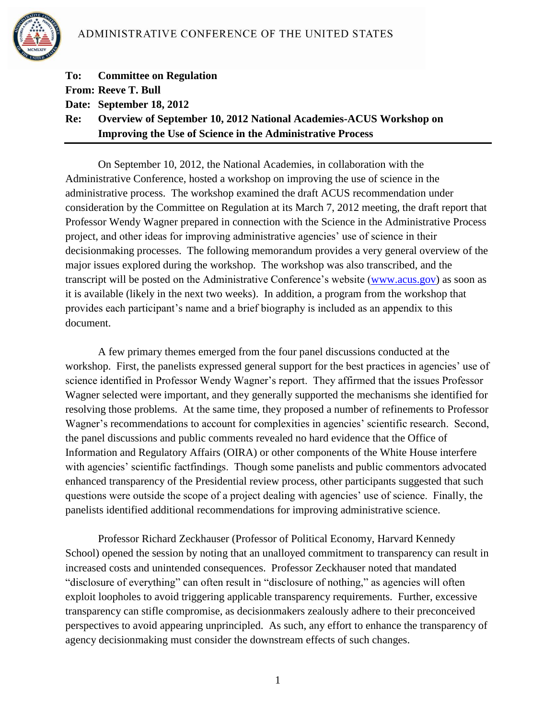

|     | <b>To:</b> Committee on Regulation                                        |
|-----|---------------------------------------------------------------------------|
|     | <b>From: Reeve T. Bull</b>                                                |
|     | Date: September 18, 2012                                                  |
| Re: | <b>Overview of September 10, 2012 National Academies-ACUS Workshop on</b> |
|     | <b>Improving the Use of Science in the Administrative Process</b>         |

On September 10, 2012, the National Academies, in collaboration with the Administrative Conference, hosted a workshop on improving the use of science in the administrative process. The workshop examined the draft ACUS recommendation under consideration by the Committee on Regulation at its March 7, 2012 meeting, the draft report that Professor Wendy Wagner prepared in connection with the Science in the Administrative Process project, and other ideas for improving administrative agencies' use of science in their decisionmaking processes. The following memorandum provides a very general overview of the major issues explored during the workshop. The workshop was also transcribed, and the transcript will be posted on the Administrative Conference's website [\(www.acus.gov\)](http://www.acus.gov/) as soon as it is available (likely in the next two weeks). In addition, a program from the workshop that provides each participant's name and a brief biography is included as an appendix to this document.

A few primary themes emerged from the four panel discussions conducted at the workshop. First, the panelists expressed general support for the best practices in agencies' use of science identified in Professor Wendy Wagner's report. They affirmed that the issues Professor Wagner selected were important, and they generally supported the mechanisms she identified for resolving those problems. At the same time, they proposed a number of refinements to Professor Wagner's recommendations to account for complexities in agencies' scientific research. Second, the panel discussions and public comments revealed no hard evidence that the Office of Information and Regulatory Affairs (OIRA) or other components of the White House interfere with agencies' scientific factfindings. Though some panelists and public commentors advocated enhanced transparency of the Presidential review process, other participants suggested that such questions were outside the scope of a project dealing with agencies' use of science. Finally, the panelists identified additional recommendations for improving administrative science.

Professor Richard Zeckhauser (Professor of Political Economy, Harvard Kennedy School) opened the session by noting that an unalloyed commitment to transparency can result in increased costs and unintended consequences. Professor Zeckhauser noted that mandated "disclosure of everything" can often result in "disclosure of nothing," as agencies will often exploit loopholes to avoid triggering applicable transparency requirements. Further, excessive transparency can stifle compromise, as decisionmakers zealously adhere to their preconceived perspectives to avoid appearing unprincipled. As such, any effort to enhance the transparency of agency decisionmaking must consider the downstream effects of such changes.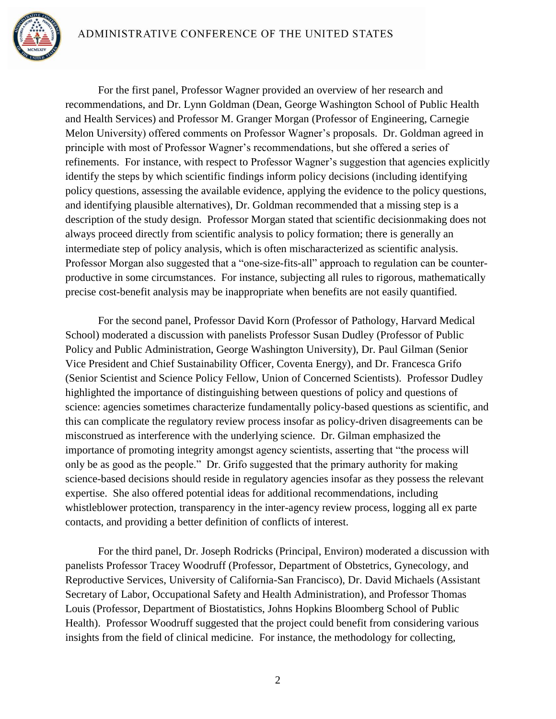

For the first panel, Professor Wagner provided an overview of her research and recommendations, and Dr. Lynn Goldman (Dean, George Washington School of Public Health and Health Services) and Professor M. Granger Morgan (Professor of Engineering, Carnegie Melon University) offered comments on Professor Wagner's proposals. Dr. Goldman agreed in principle with most of Professor Wagner's recommendations, but she offered a series of refinements. For instance, with respect to Professor Wagner's suggestion that agencies explicitly identify the steps by which scientific findings inform policy decisions (including identifying policy questions, assessing the available evidence, applying the evidence to the policy questions, and identifying plausible alternatives), Dr. Goldman recommended that a missing step is a description of the study design. Professor Morgan stated that scientific decisionmaking does not always proceed directly from scientific analysis to policy formation; there is generally an intermediate step of policy analysis, which is often mischaracterized as scientific analysis. Professor Morgan also suggested that a "one-size-fits-all" approach to regulation can be counterproductive in some circumstances. For instance, subjecting all rules to rigorous, mathematically precise cost-benefit analysis may be inappropriate when benefits are not easily quantified.

For the second panel, Professor David Korn (Professor of Pathology, Harvard Medical School) moderated a discussion with panelists Professor Susan Dudley (Professor of Public Policy and Public Administration, George Washington University), Dr. Paul Gilman (Senior Vice President and Chief Sustainability Officer, Coventa Energy), and Dr. Francesca Grifo (Senior Scientist and Science Policy Fellow, Union of Concerned Scientists). Professor Dudley highlighted the importance of distinguishing between questions of policy and questions of science: agencies sometimes characterize fundamentally policy-based questions as scientific, and this can complicate the regulatory review process insofar as policy-driven disagreements can be misconstrued as interference with the underlying science. Dr. Gilman emphasized the importance of promoting integrity amongst agency scientists, asserting that "the process will only be as good as the people." Dr. Grifo suggested that the primary authority for making science-based decisions should reside in regulatory agencies insofar as they possess the relevant expertise. She also offered potential ideas for additional recommendations, including whistleblower protection, transparency in the inter-agency review process, logging all ex parte contacts, and providing a better definition of conflicts of interest.

For the third panel, Dr. Joseph Rodricks (Principal, Environ) moderated a discussion with panelists Professor Tracey Woodruff (Professor, Department of Obstetrics, Gynecology, and Reproductive Services, University of California-San Francisco), Dr. David Michaels (Assistant Secretary of Labor, Occupational Safety and Health Administration), and Professor Thomas Louis (Professor, Department of Biostatistics, Johns Hopkins Bloomberg School of Public Health). Professor Woodruff suggested that the project could benefit from considering various insights from the field of clinical medicine. For instance, the methodology for collecting,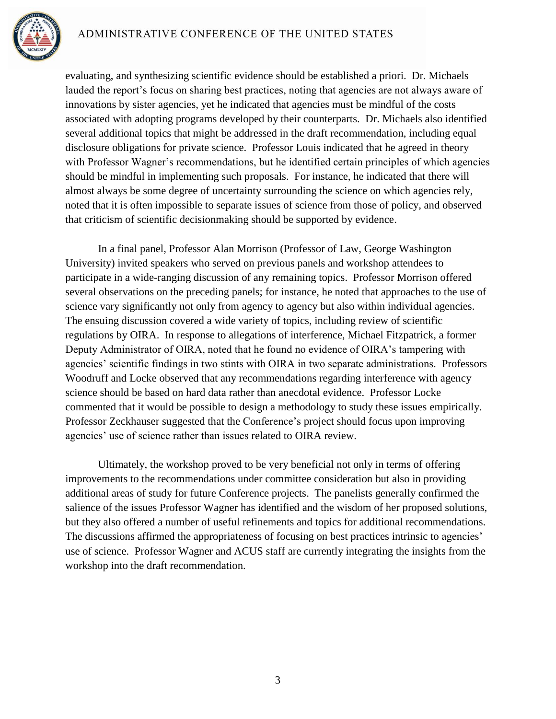# ADMINISTRATIVE CONFERENCE OF THE UNITED STATES



evaluating, and synthesizing scientific evidence should be established a priori. Dr. Michaels lauded the report's focus on sharing best practices, noting that agencies are not always aware of innovations by sister agencies, yet he indicated that agencies must be mindful of the costs associated with adopting programs developed by their counterparts. Dr. Michaels also identified several additional topics that might be addressed in the draft recommendation, including equal disclosure obligations for private science. Professor Louis indicated that he agreed in theory with Professor Wagner's recommendations, but he identified certain principles of which agencies should be mindful in implementing such proposals. For instance, he indicated that there will almost always be some degree of uncertainty surrounding the science on which agencies rely, noted that it is often impossible to separate issues of science from those of policy, and observed that criticism of scientific decisionmaking should be supported by evidence.

In a final panel, Professor Alan Morrison (Professor of Law, George Washington University) invited speakers who served on previous panels and workshop attendees to participate in a wide-ranging discussion of any remaining topics. Professor Morrison offered several observations on the preceding panels; for instance, he noted that approaches to the use of science vary significantly not only from agency to agency but also within individual agencies. The ensuing discussion covered a wide variety of topics, including review of scientific regulations by OIRA. In response to allegations of interference, Michael Fitzpatrick, a former Deputy Administrator of OIRA, noted that he found no evidence of OIRA's tampering with agencies' scientific findings in two stints with OIRA in two separate administrations. Professors Woodruff and Locke observed that any recommendations regarding interference with agency science should be based on hard data rather than anecdotal evidence. Professor Locke commented that it would be possible to design a methodology to study these issues empirically. Professor Zeckhauser suggested that the Conference's project should focus upon improving agencies' use of science rather than issues related to OIRA review.

Ultimately, the workshop proved to be very beneficial not only in terms of offering improvements to the recommendations under committee consideration but also in providing additional areas of study for future Conference projects. The panelists generally confirmed the salience of the issues Professor Wagner has identified and the wisdom of her proposed solutions, but they also offered a number of useful refinements and topics for additional recommendations. The discussions affirmed the appropriateness of focusing on best practices intrinsic to agencies' use of science. Professor Wagner and ACUS staff are currently integrating the insights from the workshop into the draft recommendation.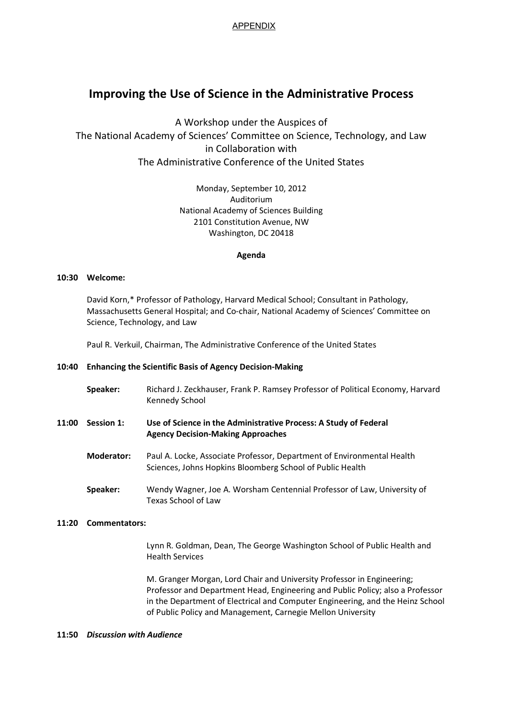APPENDIX

# **Improving the Use of Science in the Administrative Process**

A Workshop under the Auspices of The National Academy of Sciences' Committee on Science, Technology, and Law in Collaboration with The Administrative Conference of the United States

> Monday, September 10, 2012 Auditorium National Academy of Sciences Building 2101 Constitution Avenue, NW Washington, DC 20418

# **Agenda**

# **10:30 Welcome:**

David Korn,\* Professor of Pathology, Harvard Medical School; Consultant in Pathology, Massachusetts General Hospital; and Co-chair, National Academy of Sciences' Committee on Science, Technology, and Law

Paul R. Verkuil, Chairman, The Administrative Conference of the United States

# **10:40 Enhancing the Scientific Basis of Agency Decision-Making**

- **Speaker:** Richard J. Zeckhauser, Frank P. Ramsey Professor of Political Economy, Harvard Kennedy School
- **11:00 Session 1: Use of Science in the Administrative Process: A Study of Federal Agency Decision-Making Approaches** 
	- **Moderator:** Paul A. Locke, Associate Professor, Department of Environmental Health Sciences, Johns Hopkins Bloomberg School of Public Health
	- **Speaker:** Wendy Wagner, Joe A. Worsham Centennial Professor of Law, University of Texas School of Law

# **11:20 Commentators:**

 Lynn R. Goldman, Dean, The George Washington School of Public Health and Health Services

M. Granger Morgan, Lord Chair and University Professor in Engineering; Professor and Department Head, Engineering and Public Policy; also a Professor in the Department of Electrical and Computer Engineering, and the Heinz School of Public Policy and Management, Carnegie Mellon University

# **11:50** *Discussion with Audience*